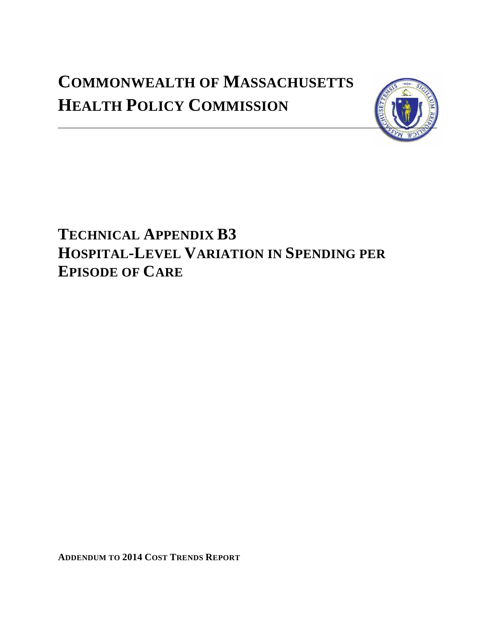# **COMMONWEALTH OF MASSACHUSETTS HEALTH POLICY COMMISSION**



# **TECHNICAL APPENDIX B3 HOSPITAL-LEVEL VARIATION IN SPENDING PER EPISODE OF CARE**

**ADDENDUM TO 2014 COST TRENDS REPORT**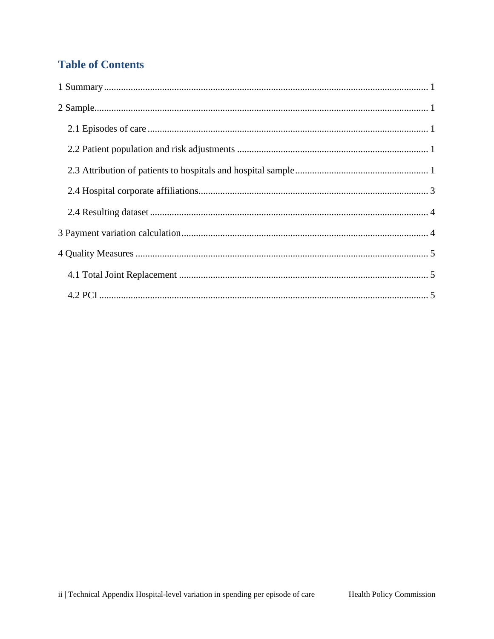# **Table of Contents**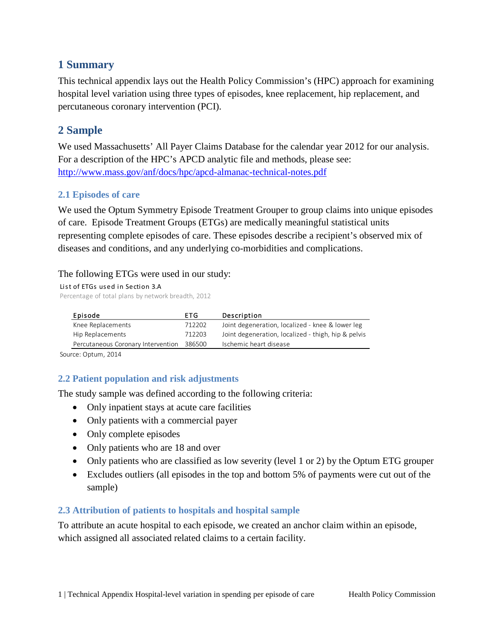### <span id="page-2-0"></span>**1 Summary**

This technical appendix lays out the Health Policy Commission's (HPC) approach for examining hospital level variation using three types of episodes, knee replacement, hip replacement, and percutaneous coronary intervention (PCI).

## <span id="page-2-1"></span>**2 Sample**

We used Massachusetts' All Payer Claims Database for the calendar year 2012 for our analysis. For a description of the HPC's APCD analytic file and methods, please see: <http://www.mass.gov/anf/docs/hpc/apcd-almanac-technical-notes.pdf>

#### <span id="page-2-2"></span>**2.1 Episodes of care**

We used the Optum Symmetry Episode Treatment Grouper to group claims into unique episodes of care. Episode Treatment Groups (ETGs) are medically meaningful statistical units representing complete episodes of care. These episodes describe a recipient's observed mix of diseases and conditions, and any underlying co-morbidities and complications.

#### The following ETGs were used in our study:

List of ETGs used in Section 3.A

Percentage of total plans by network breadth, 2012

| Episode                                   | ETG.   | Description                                         |
|-------------------------------------------|--------|-----------------------------------------------------|
| Knee Replacements                         | 712202 | Joint degeneration, localized - knee & lower leg    |
| Hip Replacements                          | 712203 | Joint degeneration, localized - thigh, hip & pelvis |
| Percutaneous Coronary Intervention 386500 |        | Ischemic heart disease                              |

Source: Optum, 2014

#### <span id="page-2-3"></span>**2.2 Patient population and risk adjustments**

The study sample was defined according to the following criteria:

- Only inpatient stays at acute care facilities
- Only patients with a commercial payer
- Only complete episodes
- Only patients who are 18 and over
- Only patients who are classified as low severity (level 1 or 2) by the Optum ETG grouper
- Excludes outliers (all episodes in the top and bottom 5% of payments were cut out of the sample)

#### <span id="page-2-4"></span>**2.3 Attribution of patients to hospitals and hospital sample**

To attribute an acute hospital to each episode, we created an anchor claim within an episode, which assigned all associated related claims to a certain facility.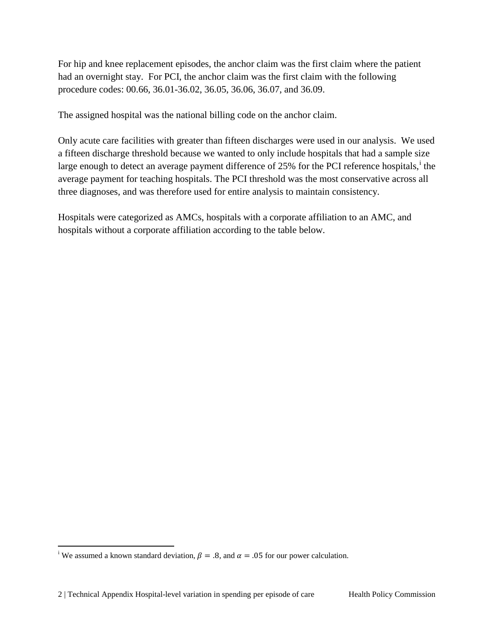For hip and knee replacement episodes, the anchor claim was the first claim where the patient had an overnight stay. For PCI, the anchor claim was the first claim with the following procedure codes: 00.66, 36.01-36.02, 36.05, 36.06, 36.07, and 36.09.

The assigned hospital was the national billing code on the anchor claim.

Only acute care facilities with greater than fifteen discharges were used in our analysis. We used a fifteen discharge threshold because we wanted to only include hospitals that had a sample size large enough to detect an average payment d[i](#page-3-0)fference of 25% for the PCI reference hospitals, <sup>i</sup> the average payment for teaching hospitals. The PCI threshold was the most conservative across all three diagnoses, and was therefore used for entire analysis to maintain consistency.

Hospitals were categorized as AMCs, hospitals with a corporate affiliation to an AMC, and hospitals without a corporate affiliation according to the table below.

 $\overline{a}$ 

<span id="page-3-0"></span><sup>&</sup>lt;sup>i</sup> We assumed a known standard deviation,  $\beta = .8$ , and  $\alpha = .05$  for our power calculation.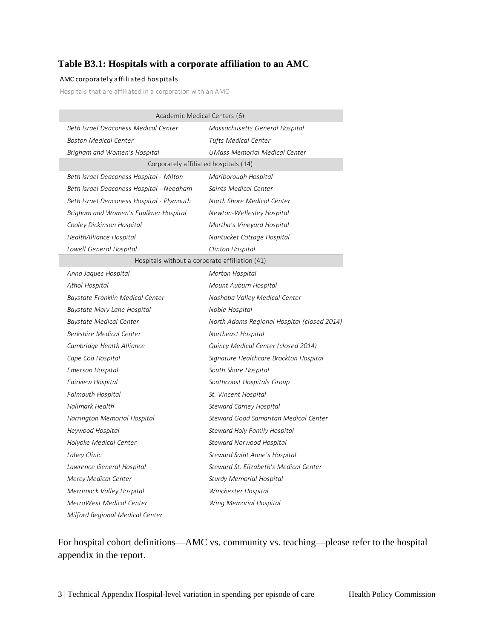#### <span id="page-4-0"></span>**Table B3.1: Hospitals with a corporate affiliation to an AMC**

#### AMC corporately affiliated hospitals

Hospitals that are affiliated in a corporation with an AMC

| Academic Medical Centers (6)                   |                                             |  |  |  |  |  |  |
|------------------------------------------------|---------------------------------------------|--|--|--|--|--|--|
| Beth Israel Deaconess Medical Center           | Massachusetts General Hospital              |  |  |  |  |  |  |
| <b>Boston Medical Center</b>                   | <b>Tufts Medical Center</b>                 |  |  |  |  |  |  |
| Brigham and Women's Hospital                   | <b>UMass Memorial Medical Center</b>        |  |  |  |  |  |  |
| Corporately affiliated hospitals (14)          |                                             |  |  |  |  |  |  |
| Beth Israel Deaconess Hospital - Milton        | Marlborough Hospital                        |  |  |  |  |  |  |
| Beth Israel Deaconess Hospital - Needham       | Saints Medical Center                       |  |  |  |  |  |  |
| Beth Israel Deaconess Hospital - Plymouth      | North Shore Medical Center                  |  |  |  |  |  |  |
| Brigham and Women's Faulkner Hospital          | Newton-Wellesley Hospital                   |  |  |  |  |  |  |
| Cooley Dickinson Hospital                      | Martha's Vineyard Hospital                  |  |  |  |  |  |  |
| HealthAlliance Hospital                        | Nantucket Cottage Hospital                  |  |  |  |  |  |  |
| Lowell General Hospital                        | Clinton Hospital                            |  |  |  |  |  |  |
| Hospitals without a corporate affiliation (41) |                                             |  |  |  |  |  |  |
| Anna Jaques Hospital                           | Morton Hospital                             |  |  |  |  |  |  |
| Athol Hospital                                 | Mount Auburn Hospital                       |  |  |  |  |  |  |
| Baystate Franklin Medical Center               | Nashoba Valley Medical Center               |  |  |  |  |  |  |
| Baystate Mary Lane Hospital                    | Noble Hospital                              |  |  |  |  |  |  |
| <b>Baystate Medical Center</b>                 | North Adams Regional Hospital (closed 2014) |  |  |  |  |  |  |
| Berkshire Medical Center                       | Northeast Hospital                          |  |  |  |  |  |  |
| Cambridge Health Alliance                      | Quincy Medical Center (closed 2014)         |  |  |  |  |  |  |
| Cape Cod Hospital                              | Signature Healthcare Brockton Hospital      |  |  |  |  |  |  |
| <b>Emerson Hospital</b>                        | South Shore Hospital                        |  |  |  |  |  |  |
| Fairview Hospital                              | Southcoast Hospitals Group                  |  |  |  |  |  |  |
| <b>Falmouth Hospital</b>                       | St. Vincent Hospital                        |  |  |  |  |  |  |
| Hallmark Health                                | <b>Steward Carney Hospital</b>              |  |  |  |  |  |  |
| Harrington Memorial Hospital                   | Steward Good Samaritan Medical Center       |  |  |  |  |  |  |
| Heywood Hospital                               | Steward Holy Family Hospital                |  |  |  |  |  |  |
| Holyoke Medical Center                         | Steward Norwood Hospital                    |  |  |  |  |  |  |
| Lahey Clinic                                   | Steward Saint Anne's Hospital               |  |  |  |  |  |  |
| Lawrence General Hospital                      | Steward St. Elizabeth's Medical Center      |  |  |  |  |  |  |
| Mercy Medical Center                           | <b>Sturdy Memorial Hospital</b>             |  |  |  |  |  |  |
| Merrimack Valley Hospital                      | Winchester Hospital                         |  |  |  |  |  |  |
| MetroWest Medical Center                       | Wing Memorial Hospital                      |  |  |  |  |  |  |
| Milford Regional Medical Center                |                                             |  |  |  |  |  |  |

For hospital cohort definitions—AMC vs. community vs. teaching—please refer to the hospital appendix in the report.

3 | Technical Appendix Hospital-level variation in spending per episode of care Health Policy Commission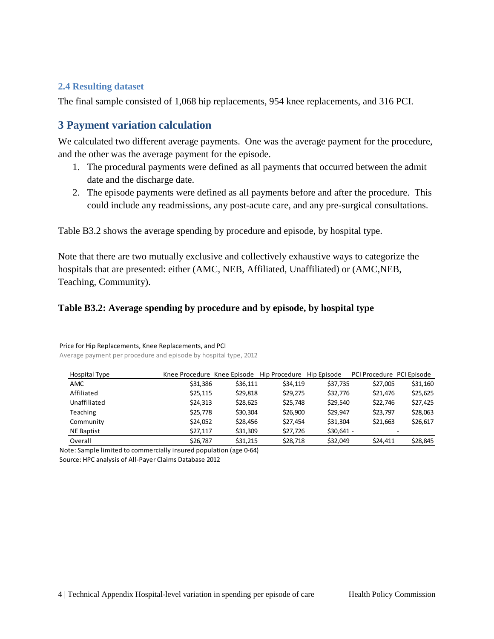#### <span id="page-5-0"></span>**2.4 Resulting dataset**

The final sample consisted of 1,068 hip replacements, 954 knee replacements, and 316 PCI.

### <span id="page-5-1"></span>**3 Payment variation calculation**

We calculated two different average payments. One was the average payment for the procedure, and the other was the average payment for the episode.

- 1. The procedural payments were defined as all payments that occurred between the admit date and the discharge date.
- 2. The episode payments were defined as all payments before and after the procedure. This could include any readmissions, any post-acute care, and any pre-surgical consultations.

Table B3.2 shows the average spending by procedure and episode, by hospital type.

Note that there are two mutually exclusive and collectively exhaustive ways to categorize the hospitals that are presented: either (AMC, NEB, Affiliated, Unaffiliated) or (AMC,NEB, Teaching, Community).

#### **Table B3.2: Average spending by procedure and by episode, by hospital type**

| Hospital Type     | Knee Procedure Knee Episode |          | Hip Procedure | Hip Episode | PCI Procedure PCI Episode |          |
|-------------------|-----------------------------|----------|---------------|-------------|---------------------------|----------|
| <b>AMC</b>        | \$31,386                    | \$36,111 | \$34,119      | \$37,735    | \$27,005                  | \$31,160 |
| Affiliated        | \$25,115                    | \$29,818 | \$29.275      | \$32,776    | \$21,476                  | \$25,625 |
| Unaffiliated      | \$24,313                    | \$28,625 | \$25,748      | \$29.540    | \$22,746                  | \$27,425 |
| Teaching          | \$25,778                    | \$30,304 | \$26,900      | \$29.947    | \$23,797                  | \$28,063 |
| Community         | \$24.052                    | \$28,456 | \$27.454      | \$31,304    | \$21,663                  | \$26,617 |
| <b>NE Baptist</b> | \$27,117                    | \$31,309 | \$27,726      | $$30,641 -$ |                           |          |
| Overall           | \$26,787                    | \$31,215 | \$28,718      | \$32,049    | \$24,411                  | \$28,845 |

#### Price for Hip Replacements, Knee Replacements, and PCI

Average payment per procedure and episode by hospital type, 2012

Note: Sample limited to commercially insured population (age 0-64) Source: HPC analysis of All-Payer Claims Database 2012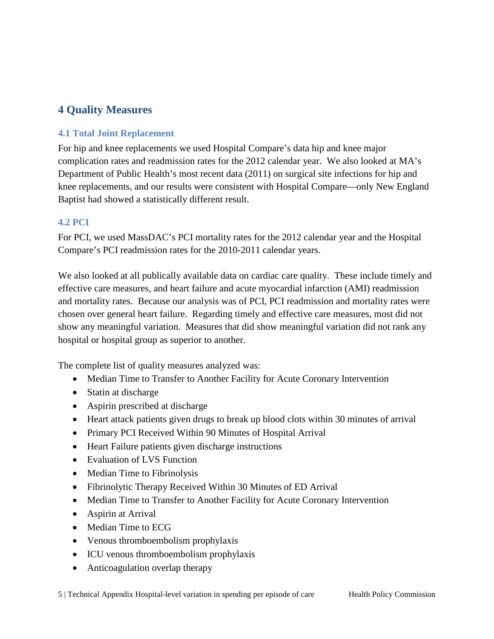## <span id="page-6-0"></span>**4 Quality Measures**

#### <span id="page-6-1"></span>**4.1 Total Joint Replacement**

For hip and knee replacements we used Hospital Compare's data hip and knee major complication rates and readmission rates for the 2012 calendar year. We also looked at MA's Department of Public Health's most recent data (2011) on surgical site infections for hip and knee replacements, and our results were consistent with Hospital Compare—only New England Baptist had showed a statistically different result.

#### <span id="page-6-2"></span>**4.2 PCI**

For PCI, we used MassDAC's PCI mortality rates for the 2012 calendar year and the Hospital Compare's PCI readmission rates for the 2010-2011 calendar years.

We also looked at all publically available data on cardiac care quality. These include timely and effective care measures, and heart failure and acute myocardial infarction (AMI) readmission and mortality rates. Because our analysis was of PCI, PCI readmission and mortality rates were chosen over general heart failure. Regarding timely and effective care measures, most did not show any meaningful variation. Measures that did show meaningful variation did not rank any hospital or hospital group as superior to another.

The complete list of quality measures analyzed was:

- Median Time to Transfer to Another Facility for Acute Coronary Intervention
- Statin at discharge
- Aspirin prescribed at discharge
- Heart attack patients given drugs to break up blood clots within 30 minutes of arrival
- Primary PCI Received Within 90 Minutes of Hospital Arrival
- Heart Failure patients given discharge instructions
- Evaluation of LVS Function
- Median Time to Fibrinolysis
- Fibrinolytic Therapy Received Within 30 Minutes of ED Arrival
- Median Time to Transfer to Another Facility for Acute Coronary Intervention
- Aspirin at Arrival
- Median Time to ECG
- Venous thromboembolism prophylaxis
- ICU venous thromboembolism prophylaxis
- Anticoagulation overlap therapy